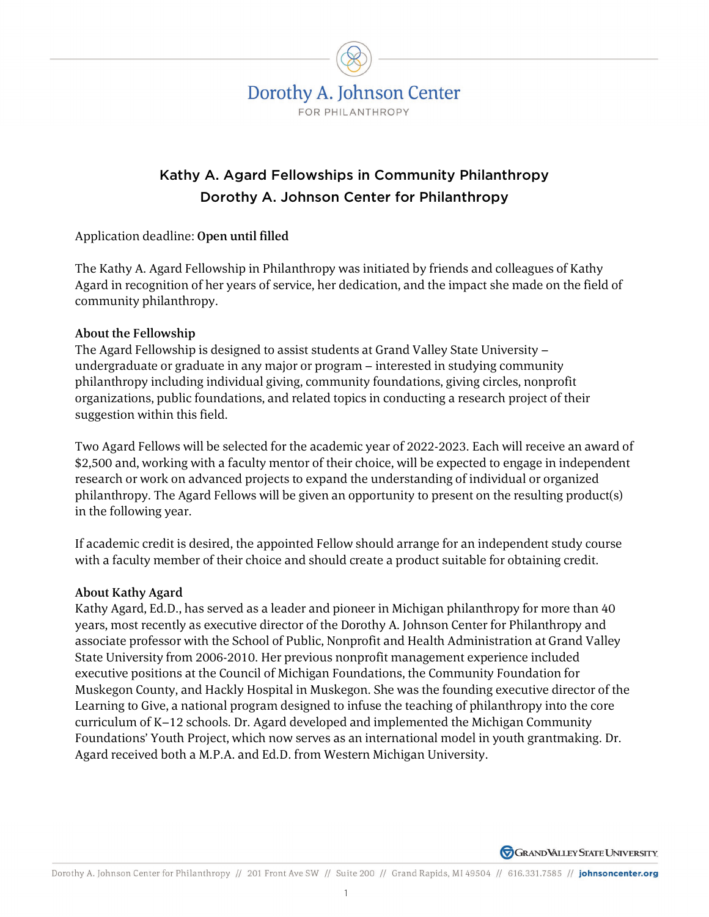

# Kathy A. Agard Fellowships in Community Philanthropy Dorothy A. Johnson Center for Philanthropy

Application deadline: Open until filled

The Kathy A. Agard Fellowship in Philanthropy was initiated by friends and colleagues of Kathy Agard in recognition of her years of service, her dedication, and the impact she made on the field of community philanthropy.

#### About the Fellowship

The Agard Fellowship is designed to assist students at Grand Valley State University – undergraduate or graduate in any major or program – interested in studying community philanthropy including individual giving, community foundations, giving circles, nonprofit organizations, public foundations, and related topics in conducting a research project of their suggestion within this field.

Two Agard Fellows will be selected for the academic year of 2022-2023. Each will receive an award of \$2,500 and, working with a faculty mentor of their choice, will be expected to engage in independent research or work on advanced projects to expand the understanding of individual or organized philanthropy. The Agard Fellows will be given an opportunity to present on the resulting product(s) in the following year.

If academic credit is desired, the appointed Fellow should arrange for an independent study course with a faculty member of their choice and should create a product suitable for obtaining credit.

#### About Kathy Agard

Kathy Agard, Ed.D., has served as a leader and pioneer in Michigan philanthropy for more than 40 years, most recently as executive director of the Dorothy A. Johnson Center for Philanthropy and associate professor with the School of Public, Nonprofit and Health Administration at Grand Valley State University from 2006-2010. Her previous nonprofit management experience included executive positions at the Council of Michigan Foundations, the Community Foundation for Muskegon County, and Hackly Hospital in Muskegon. She was the founding executive director of the Learning to Give, a national program designed to infuse the teaching of philanthropy into the core curriculum of K–12 schools. Dr. Agard developed and implemented the Michigan Community Foundations' Youth Project, which now serves as an international model in youth grantmaking. Dr. Agard received both a M.P.A. and Ed.D. from Western Michigan University.

**GRAND VALLEY STATE UNIVERSITY**